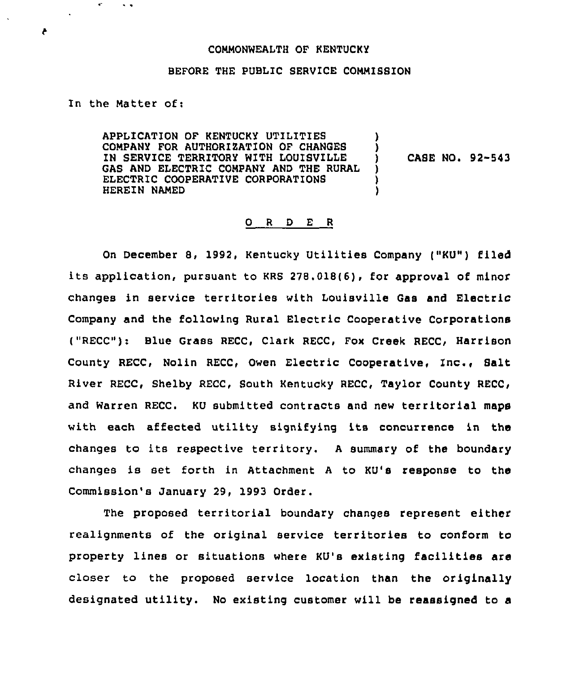## COMMONWEALTH OF KENTUCKY

## BEFORE THE PUBLIC SERVICE COMMISSION

## In the Matter of:

 $\ddot{\phantom{0}}$ 

 $\mathbf{c}^{\star}$ 

APPLICATION OF KENTUCKY UTILITIES COMPANY FOR AUTHORIZATION OF CHANGES IN SERVICE TERRITORY WITH LOUISVILLE GAS AND ELECTRIC COMPANY AND THE RURAL ELECTRIC COOPERATIVE CORPORATIONS HEREIN NAMED

CABE NQ< 92-543

)

) )

## 0 <sup>R</sup> <sup>D</sup> E <sup>R</sup>

On December 8, 1992, Kentucky Utilities Company ("KU") filed its application, pursuant to KRS 278.018(6), for approval of minor changes in service territories with Louisville Gas and Electric Company and the following Rural Electric Cooperative Corporations ("RECC"): Blue Grass RECC, Clark RECC, Fox Creek RECC, Harrison County RECC, Nolin RECC, Owen Electric Cooperative, Inc., Salt River RECC, Shelby RECC, South Kentucky RECC, Taylor County RECC, and warren REcc. KU submitted contracts and new territorial maps with each affected utility signifying its concurrence in the changes to its respective territory. A summary of the boundary changes is set forth in Attachment <sup>A</sup> to KU's response to the Commission's January 29, 1993 Order.

The proposed territorial boundary changes represent either realignments of the original service territories to conform to property lines or situations where KU's existing facilities are closer to the proposed service location than the originally designated utility. No existing customer will be reassigned to a

 $\blacktriangleright$